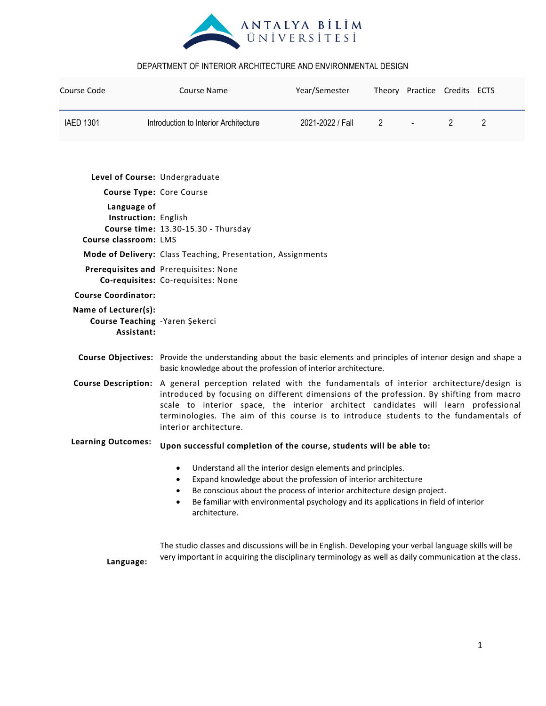

| Course Code                                                                                         | <b>Course Name</b>                                                                                                                                                                                                                                                                                                                                                                                             | Year/Semester    |   | Theory Practice Credits ECTS |   |                |
|-----------------------------------------------------------------------------------------------------|----------------------------------------------------------------------------------------------------------------------------------------------------------------------------------------------------------------------------------------------------------------------------------------------------------------------------------------------------------------------------------------------------------------|------------------|---|------------------------------|---|----------------|
| <b>IAED 1301</b>                                                                                    | Introduction to Interior Architecture                                                                                                                                                                                                                                                                                                                                                                          | 2021-2022 / Fall | 2 |                              | 2 | $\overline{2}$ |
|                                                                                                     | Level of Course: Undergraduate                                                                                                                                                                                                                                                                                                                                                                                 |                  |   |                              |   |                |
|                                                                                                     | Course Type: Core Course                                                                                                                                                                                                                                                                                                                                                                                       |                  |   |                              |   |                |
| Language of<br>Instruction: English<br>Course time: 13.30-15.30 - Thursday<br>Course classroom: LMS |                                                                                                                                                                                                                                                                                                                                                                                                                |                  |   |                              |   |                |
|                                                                                                     | Mode of Delivery: Class Teaching, Presentation, Assignments                                                                                                                                                                                                                                                                                                                                                    |                  |   |                              |   |                |
|                                                                                                     | Prerequisites and Prerequisites: None<br>Co-requisites: Co-requisites: None                                                                                                                                                                                                                                                                                                                                    |                  |   |                              |   |                |
| <b>Course Coordinator:</b>                                                                          |                                                                                                                                                                                                                                                                                                                                                                                                                |                  |   |                              |   |                |
| Name of Lecturer(s):<br>Course Teaching - Yaren Şekerci<br>Assistant:                               |                                                                                                                                                                                                                                                                                                                                                                                                                |                  |   |                              |   |                |
|                                                                                                     | Course Objectives: Provide the understanding about the basic elements and principles of interior design and shape a<br>basic knowledge about the profession of interior architecture.                                                                                                                                                                                                                          |                  |   |                              |   |                |
|                                                                                                     | Course Description: A general perception related with the fundamentals of interior architecture/design is<br>introduced by focusing on different dimensions of the profession. By shifting from macro<br>scale to interior space, the interior architect candidates will learn professional<br>terminologies. The aim of this course is to introduce students to the fundamentals of<br>interior architecture. |                  |   |                              |   |                |
| <b>Learning Outcomes:</b>                                                                           | Upon successful completion of the course, students will be able to:                                                                                                                                                                                                                                                                                                                                            |                  |   |                              |   |                |
|                                                                                                     | Understand all the interior design elements and principles.<br>Expand knowledge about the profession of interior architecture<br>Be conscious about the process of interior architecture design project.<br>$\bullet$<br>Be familiar with environmental psychology and its applications in field of interior<br>$\bullet$<br>architecture.                                                                     |                  |   |                              |   |                |
| Language:                                                                                           | The studio classes and discussions will be in English. Developing your verbal language skills will be<br>very important in acquiring the disciplinary terminology as well as daily communication at the class.                                                                                                                                                                                                 |                  |   |                              |   |                |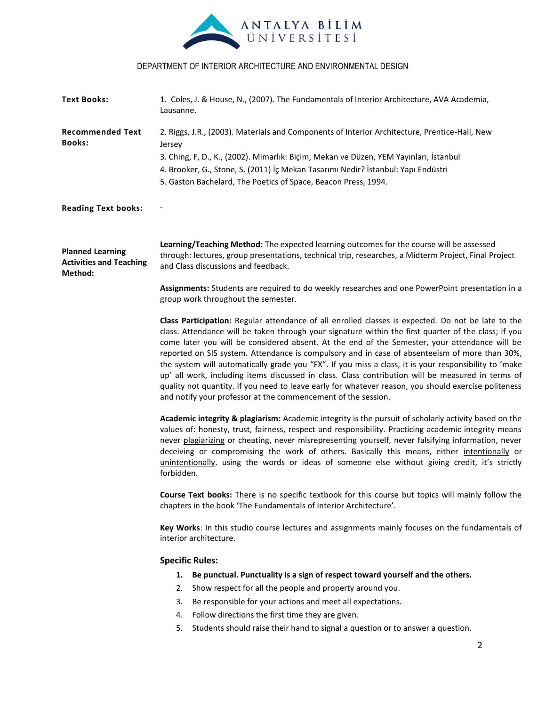

| <b>Text Books:</b>                                                   | 1. Coles, J. & House, N., (2007). The Fundamentals of Interior Architecture, AVA Academia,<br>Lausanne.                                                                                                                                                                                                                                                                                                                                                                                                                                                                                                                                                                                                                                                                                             |  |  |  |  |
|----------------------------------------------------------------------|-----------------------------------------------------------------------------------------------------------------------------------------------------------------------------------------------------------------------------------------------------------------------------------------------------------------------------------------------------------------------------------------------------------------------------------------------------------------------------------------------------------------------------------------------------------------------------------------------------------------------------------------------------------------------------------------------------------------------------------------------------------------------------------------------------|--|--|--|--|
| <b>Recommended Text</b><br><b>Books:</b>                             | 2. Riggs, J.R., (2003). Materials and Components of Interior Architecture, Prentice-Hall, New<br>Jersey                                                                                                                                                                                                                                                                                                                                                                                                                                                                                                                                                                                                                                                                                             |  |  |  |  |
|                                                                      | 3. Ching, F, D., K., (2002). Mimarlık: Biçim, Mekan ve Düzen, YEM Yayınları, İstanbul                                                                                                                                                                                                                                                                                                                                                                                                                                                                                                                                                                                                                                                                                                               |  |  |  |  |
|                                                                      | 4. Brooker, G., Stone, S. (2011) İç Mekan Tasarımı Nedir? İstanbul: Yapı Endüstri                                                                                                                                                                                                                                                                                                                                                                                                                                                                                                                                                                                                                                                                                                                   |  |  |  |  |
|                                                                      | 5. Gaston Bachelard, The Poetics of Space, Beacon Press, 1994.                                                                                                                                                                                                                                                                                                                                                                                                                                                                                                                                                                                                                                                                                                                                      |  |  |  |  |
| <b>Reading Text books:</b>                                           |                                                                                                                                                                                                                                                                                                                                                                                                                                                                                                                                                                                                                                                                                                                                                                                                     |  |  |  |  |
| <b>Planned Learning</b><br><b>Activities and Teaching</b><br>Method: | Learning/Teaching Method: The expected learning outcomes for the course will be assessed<br>through: lectures, group presentations, technical trip, researches, a Midterm Project, Final Project<br>and Class discussions and feedback.                                                                                                                                                                                                                                                                                                                                                                                                                                                                                                                                                             |  |  |  |  |
|                                                                      | Assignments: Students are required to do weekly researches and one PowerPoint presentation in a<br>group work throughout the semester.                                                                                                                                                                                                                                                                                                                                                                                                                                                                                                                                                                                                                                                              |  |  |  |  |
|                                                                      | Class Participation: Regular attendance of all enrolled classes is expected. Do not be late to the<br>class. Attendance will be taken through your signature within the first quarter of the class; if you<br>come later you will be considered absent. At the end of the Semester, your attendance will be<br>reported on SIS system. Attendance is compulsory and in case of absenteeism of more than 30%,<br>the system will automatically grade you "FX". If you miss a class, it is your responsibility to 'make<br>up' all work, including items discussed in class. Class contribution will be measured in terms of<br>quality not quantity. If you need to leave early for whatever reason, you should exercise politeness<br>and notify your professor at the commencement of the session. |  |  |  |  |
|                                                                      | Academic integrity & plagiarism: Academic integrity is the pursuit of scholarly activity based on the<br>values of: honesty, trust, fairness, respect and responsibility. Practicing academic integrity means<br>never plagiarizing or cheating, never misrepresenting yourself, never falsifying information, never<br>deceiving or compromising the work of others. Basically this means, either intentionally or<br>unintentionally, using the words or ideas of someone else without giving credit, it's strictly<br>forbidden.                                                                                                                                                                                                                                                                 |  |  |  |  |
|                                                                      | Course Text books: There is no specific textbook for this course but topics will mainly follow the<br>chapters in the book 'The Fundamentals of Interior Architecture'.                                                                                                                                                                                                                                                                                                                                                                                                                                                                                                                                                                                                                             |  |  |  |  |
|                                                                      | Key Works: In this studio course lectures and assignments mainly focuses on the fundamentals of<br>interior architecture.                                                                                                                                                                                                                                                                                                                                                                                                                                                                                                                                                                                                                                                                           |  |  |  |  |
|                                                                      | <b>Specific Rules:</b>                                                                                                                                                                                                                                                                                                                                                                                                                                                                                                                                                                                                                                                                                                                                                                              |  |  |  |  |
|                                                                      | Be punctual. Punctuality is a sign of respect toward yourself and the others.<br>1.                                                                                                                                                                                                                                                                                                                                                                                                                                                                                                                                                                                                                                                                                                                 |  |  |  |  |
|                                                                      | Show respect for all the people and property around you.<br>2.                                                                                                                                                                                                                                                                                                                                                                                                                                                                                                                                                                                                                                                                                                                                      |  |  |  |  |
|                                                                      | Be responsible for your actions and meet all expectations.<br>3.                                                                                                                                                                                                                                                                                                                                                                                                                                                                                                                                                                                                                                                                                                                                    |  |  |  |  |
|                                                                      | Follow directions the first time they are given.<br>4.                                                                                                                                                                                                                                                                                                                                                                                                                                                                                                                                                                                                                                                                                                                                              |  |  |  |  |
|                                                                      | Students should raise their hand to signal a question or to answer a question.<br>5.                                                                                                                                                                                                                                                                                                                                                                                                                                                                                                                                                                                                                                                                                                                |  |  |  |  |
|                                                                      | $\overline{2}$                                                                                                                                                                                                                                                                                                                                                                                                                                                                                                                                                                                                                                                                                                                                                                                      |  |  |  |  |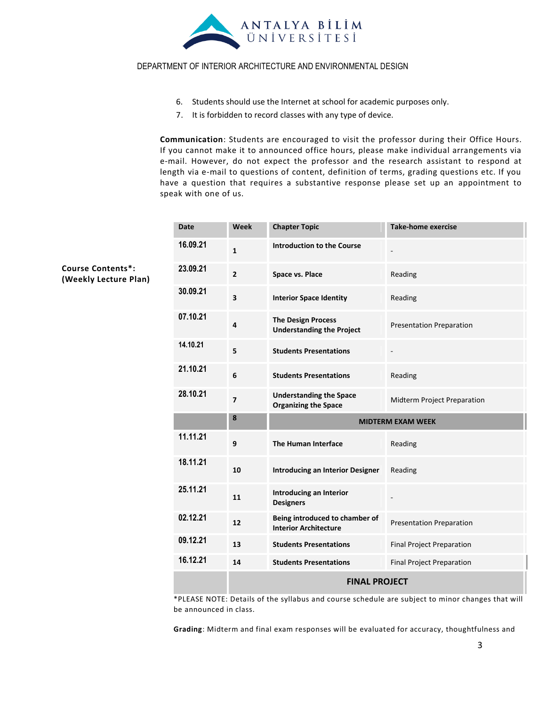

- 6. Students should use the Internet at school for academic purposes only.
- 7. It is forbidden to record classes with any type of device.

**Communication**: Students are encouraged to visit the professor during their Office Hours. If you cannot make it to announced office hours, please make individual arrangements via e-mail. However, do not expect the professor and the research assistant to respond at length via e-mail to questions of content, definition of terms, grading questions etc. If you have a question that requires a substantive response please set up an appointment to speak with one of us.

| <b>Date</b> | Week                    | <b>Chapter Topic</b>                                           | <b>Take-home exercise</b>        |  |
|-------------|-------------------------|----------------------------------------------------------------|----------------------------------|--|
| 16.09.21    | $\mathbf{1}$            | <b>Introduction to the Course</b>                              |                                  |  |
| 23.09.21    | $\overline{2}$          | Space vs. Place                                                | Reading                          |  |
| 30.09.21    | $\overline{\mathbf{3}}$ | <b>Interior Space Identity</b>                                 | Reading                          |  |
| 07.10.21    | 4                       | <b>The Design Process</b><br><b>Understanding the Project</b>  | <b>Presentation Preparation</b>  |  |
| 14.10.21    | 5                       | <b>Students Presentations</b>                                  | $\qquad \qquad -$                |  |
| 21.10.21    | 6                       | <b>Students Presentations</b>                                  | Reading                          |  |
| 28.10.21    | $\overline{7}$          | <b>Understanding the Space</b><br><b>Organizing the Space</b>  | Midterm Project Preparation      |  |
|             | 8                       | <b>MIDTERM EXAM WEEK</b>                                       |                                  |  |
| 11.11.21    | 9                       | The Human Interface                                            | Reading                          |  |
| 18.11.21    | 10                      | <b>Introducing an Interior Designer</b>                        | Reading                          |  |
|             |                         |                                                                |                                  |  |
| 25.11.21    | 11                      | Introducing an Interior<br><b>Designers</b>                    | $\qquad \qquad \blacksquare$     |  |
| 02.12.21    | 12                      | Being introduced to chamber of<br><b>Interior Architecture</b> | <b>Presentation Preparation</b>  |  |
| 09.12.21    | 13                      | <b>Students Presentations</b>                                  | <b>Final Project Preparation</b> |  |
| 16.12.21    | 14                      | <b>Students Presentations</b>                                  | <b>Final Project Preparation</b> |  |

\*PLEASE NOTE: Details of the syllabus and course schedule are subject to minor changes that will be announced in class.

**Grading**: Midterm and final exam responses will be evaluated for accuracy, thoughtfulness and

**Course Contents\*: (Weekly Lecture Plan)**